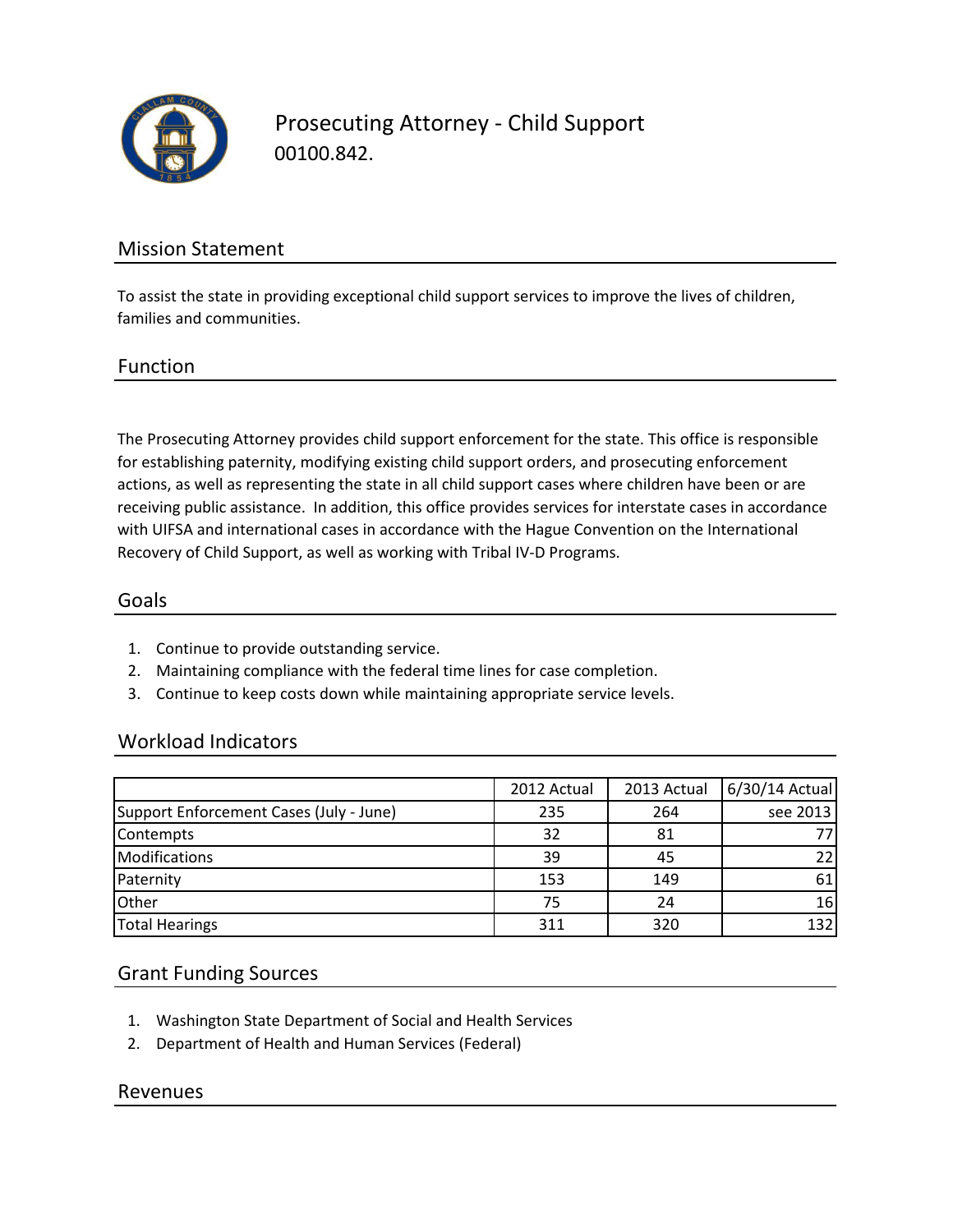

Prosecuting Attorney - Child Support 00100.842.

# Mission Statement

To assist the state in providing exceptional child support services to improve the lives of children, families and communities.

#### Function

The Prosecuting Attorney provides child support enforcement for the state. This office is responsible for establishing paternity, modifying existing child support orders, and prosecuting enforcement actions, as well as representing the state in all child support cases where children have been or are receiving public assistance. In addition, this office provides services for interstate cases in accordance with UIFSA and international cases in accordance with the Hague Convention on the International Recovery of Child Support, as well as working with Tribal IV-D Programs.

#### Goals

- 1. Continue to provide outstanding service.
- 2. Maintaining compliance with the federal time lines for case completion.
- 3. Continue to keep costs down while maintaining appropriate service levels.

## Workload Indicators

|                                         | 2012 Actual | 2013 Actual | 6/30/14 Actual |
|-----------------------------------------|-------------|-------------|----------------|
| Support Enforcement Cases (July - June) | 235         | 264         | see 2013       |
| Contempts                               | 32          | 81          |                |
| Modifications                           | 39          | 45          | 221            |
| Paternity                               | 153         | 149         | 61             |
| Other                                   | 75          | 24          | 16             |
| <b>Total Hearings</b>                   | 311         | 320         | 132            |

## Grant Funding Sources

- 1. Washington State Department of Social and Health Services
- 2. Department of Health and Human Services (Federal)

#### Revenues